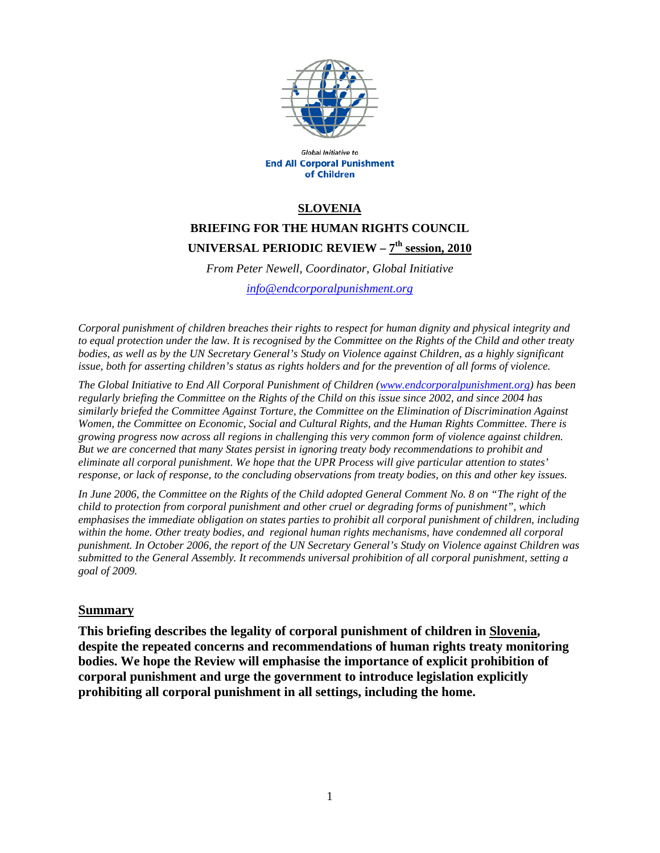

Global Initiative to **End All Corporal Punishment** of Children

#### **SLOVENIA**

# **BRIEFING FOR THE HUMAN RIGHTS COUNCIL UNIVERSAL PERIODIC REVIEW – 7th session, 2010**

*From Peter Newell, Coordinator, Global Initiative* 

*info@endcorporalpunishment.org*

*Corporal punishment of children breaches their rights to respect for human dignity and physical integrity and to equal protection under the law. It is recognised by the Committee on the Rights of the Child and other treaty bodies, as well as by the UN Secretary General's Study on Violence against Children, as a highly significant issue, both for asserting children's status as rights holders and for the prevention of all forms of violence.* 

*The Global Initiative to End All Corporal Punishment of Children (www.endcorporalpunishment.org) has been regularly briefing the Committee on the Rights of the Child on this issue since 2002, and since 2004 has similarly briefed the Committee Against Torture, the Committee on the Elimination of Discrimination Against Women, the Committee on Economic, Social and Cultural Rights, and the Human Rights Committee. There is growing progress now across all regions in challenging this very common form of violence against children. But we are concerned that many States persist in ignoring treaty body recommendations to prohibit and eliminate all corporal punishment. We hope that the UPR Process will give particular attention to states' response, or lack of response, to the concluding observations from treaty bodies, on this and other key issues.* 

*In June 2006, the Committee on the Rights of the Child adopted General Comment No. 8 on "The right of the child to protection from corporal punishment and other cruel or degrading forms of punishment", which emphasises the immediate obligation on states parties to prohibit all corporal punishment of children, including within the home. Other treaty bodies, and regional human rights mechanisms, have condemned all corporal punishment. In October 2006, the report of the UN Secretary General's Study on Violence against Children was submitted to the General Assembly. It recommends universal prohibition of all corporal punishment, setting a goal of 2009.*

#### **Summary**

**This briefing describes the legality of corporal punishment of children in Slovenia, despite the repeated concerns and recommendations of human rights treaty monitoring bodies. We hope the Review will emphasise the importance of explicit prohibition of corporal punishment and urge the government to introduce legislation explicitly prohibiting all corporal punishment in all settings, including the home.**